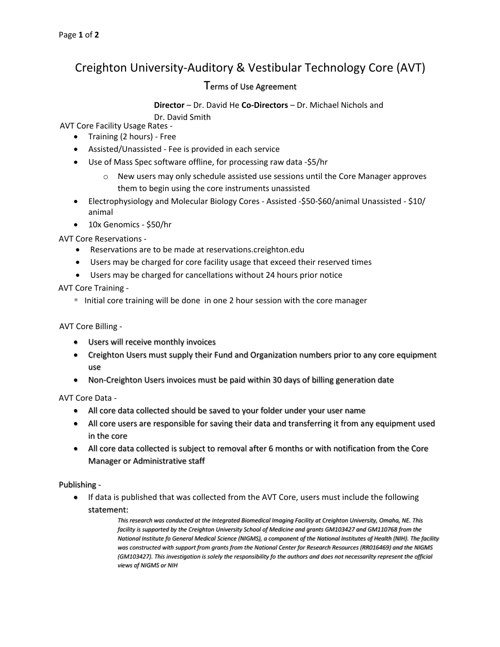## Creighton University-Auditory & Vestibular Technology Core (AVT)

## Terms of Use Agreement

**Director** – Dr. David He **Co-Directors** – Dr. Michael Nichols and

Dr. David Smith

AVT Core Facility Usage Rates -

- Training (2 hours) Free
- Assisted/Unassisted Fee is provided in each service
- Use of Mass Spec software offline, for processing raw data -\$5/hr
	- $\circ$  New users may only schedule assisted use sessions until the Core Manager approves them to begin using the core instruments unassisted
- Electrophysiology and Molecular Biology Cores Assisted -\$50-\$60/animal Unassisted \$10/ animal
- 10x Genomics \$50/hr

AVT Core Reservations -

- Reservations are to be made at reservations.creighton.edu
- Users may be charged for core facility usage that exceed their reserved times
- Users may be charged for cancellations without 24 hours prior notice

AVT Core Training -

Initial core training will be done in one 2 hour session with the core manager

AVT Core Billing -

- Users will receive monthly invoices
- Creighton Users must supply their Fund and Organization numbers prior to any core equipment use
- Non-Creighton Users invoices must be paid within 30 days of billing generation date

AVT Core Data -

- All core data collected should be saved to your folder under your user name
- All core users are responsible for saving their data and transferring it from any equipment used in the core
- All core data collected is subject to removal after 6 months or with notification from the Core Manager or Administrative staff

Publishing -

• If data is published that was collected from the AVT Core, users must include the following statement:

> *This research was conducted at the Integrated Biomedical Imaging Facility at Creighton University, Omaha, NE. This*  facility is supported by the Creighton University School of Medicine and grants GM103427 and GM110768 from the *National Institute fo General Medical Science (NIGMS), a component of the National Institutes of Health (NIH). The facility was constructed with support from grants from the National Center for Research Resources (RR016469) and the NIGMS (GM103427). This investigation is solely the responsibility fo the authors and does not necessarilty represent the official views of NIGMS or NIH*